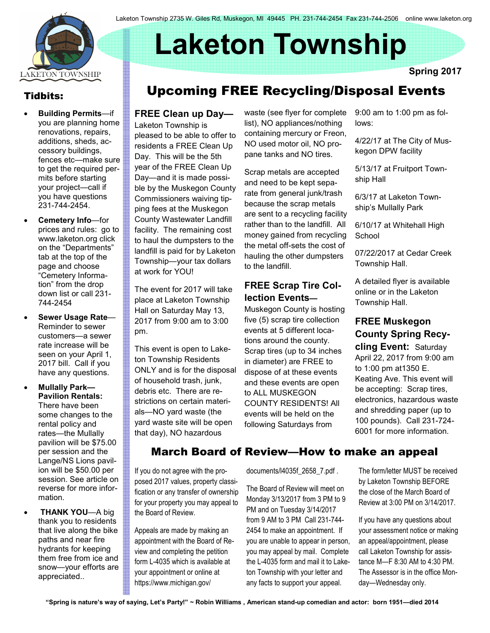

# Laketon Township

Tidbits:

- Building Permits—if you are planning home renovations, repairs, additions, sheds, accessory buildings, fences etc—make sure to get the required permits before starting your project—call if you have questions 231-744-2454.
- Cemetery Info-for prices and rules: go to www.laketon.org click on the "Departments" tab at the top of the page and choose "Cemetery Information" from the drop down list or call 231- 744-2454
- Sewer Usage Rate— Reminder to sewer customers—a sewer rate increase will be seen on your April 1, 2017 bill. Call if you have any questions.
- Mullally Park— Pavilion Rentals: There have been some changes to the rental policy and rates—the Mullally pavilion will be \$75.00 per session and the Lange/NS Lions pavilion will be \$50.00 per session. See article on reverse for more information.
- **THANK YOU—A big** thank you to residents that live along the bike paths and near fire hydrants for keeping them free from ice and snow—your efforts are appreciated..

# Spring 2017 Upcoming FREE Recycling/Disposal Events

### FREE Clean up Day—

Laketon Township is pleased to be able to offer to residents a FREE Clean Up Day. This will be the 5th year of the FREE Clean Up Day—and it is made possible by the Muskegon County Commissioners waiving tipping fees at the Muskegon County Wastewater Landfill facility. The remaining cost to haul the dumpsters to the landfill is paid for by Laketon Township—your tax dollars at work for YOU!

The event for 2017 will take place at Laketon Township Hall on Saturday May 13, 2017 from 9:00 am to 3:00 pm.

This event is open to Laketon Township Residents ONLY and is for the disposal of household trash, junk, debris etc. There are restrictions on certain materials—NO yard waste (the yard waste site will be open that day), NO hazardous

waste (see flyer for complete list), NO appliances/nothing containing mercury or Freon, NO used motor oil, NO propane tanks and NO tires.

Scrap metals are accepted and need to be kept separate from general junk/trash because the scrap metals are sent to a recycling facility rather than to the landfill. All money gained from recycling the metal off-sets the cost of hauling the other dumpsters to the landfill.

#### FREE Scrap Tire Collection Events—

Muskegon County is hosting five (5) scrap tire collection events at 5 different locations around the county. Scrap tires (up to 34 inches in diameter) are FREE to dispose of at these events and these events are open to ALL MUSKEGON COUNTY RESIDENTS! All events will be held on the following Saturdays from

9:00 am to 1:00 pm as follows:

4/22/17 at The City of Muskegon DPW facility

5/13/17 at Fruitport Township Hall

6/3/17 at Laketon Township's Mullally Park

6/10/17 at Whitehall High **School** 

07/22/2017 at Cedar Creek Township Hall.

A detailed flyer is available online or in the Laketon Township Hall.

## FREE Muskegon County Spring Recy-

cling Event: Saturday April 22, 2017 from 9:00 am to 1:00 pm at1350 E. Keating Ave. This event will be accepting: Scrap tires, electronics, hazardous waste and shredding paper (up to 100 pounds). Call 231-724- 6001 for more information.

# March Board of Review—How to make an appeal

If you do not agree with the proposed 2017 values, property classification or any transfer of ownership for your property you may appeal to the Board of Review.

Appeals are made by making an appointment with the Board of Review and completing the petition form L-4035 which is available at your appointment or online at https://www.michigan.gov/

documents/l4035f\_2658\_7.pdf .

The Board of Review will meet on Monday 3/13/2017 from 3 PM to 9 PM and on Tuesday 3/14/2017 from 9 AM to 3 PM Call 231-744- 2454 to make an appointment. If you are unable to appear in person, you may appeal by mail. Complete the L-4035 form and mail it to Laketon Township with your letter and any facts to support your appeal.

The form/letter MUST be received by Laketon Township BEFORE the close of the March Board of Review at 3:00 PM on 3/14/2017.

If you have any questions about your assessment notice or making an appeal/appointment, please call Laketon Township for assistance M—F 8:30 AM to 4:30 PM. The Assessor is in the office Monday—Wednesday only.

"Spring is nature's way of saying, Let's Party!" ~ Robin Williams , American stand-up comedian and actor: born 1951—died 2014